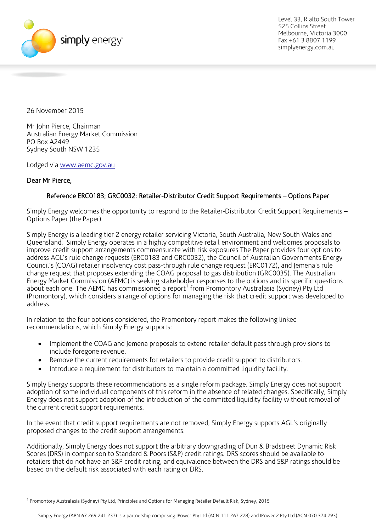

26 November 2015

Mr John Pierce, Chairman Australian Energy Market Commission PO Box A2449 Sydney South NSW 1235

Lodged via [www.aemc.gov.au](http://www.aemc.gov.au/)

# Dear Mr Pierce,

## Reference ERC0183; GRC0032: Retailer-Distributor Credit Support Requirements – Options Paper

Simply Energy welcomes the opportunity to respond to the Retailer-Distributor Credit Support Requirements – Options Paper (the Paper).

Simply Energy is a leading tier 2 energy retailer servicing Victoria, South Australia, New South Wales and Queensland. Simply Energy operates in a highly competitive retail environment and welcomes proposals to improve credit support arrangements commensurate with risk exposures The Paper provides four options to address AGL's rule change requests (ERC0183 and GRC0032), the Council of Australian Governments Energy Council's (COAG) retailer insolvency cost pass-through rule change request (ERC0172), and Jemena's rule change request that proposes extending the COAG proposal to gas distribution (GRC0035). The Australian Energy Market Commission (AEMC) is seeking stakeholder responses to the options and its specific questions about each one. The AEMC has commissioned a report<sup>[1](#page-3-0)</sup> from Promontory Australasia (Sydney) Pty Ltd (Promontory), which considers a range of options for managing the risk that credit support was developed to address.

In relation to the four options considered, the Promontory report makes the following linked recommendations, which Simply Energy supports:

- Implement the COAG and Jemena proposals to extend retailer default pass through provisions to include foregone revenue.
- Remove the current requirements for retailers to provide credit support to distributors.
- Introduce a requirement for distributors to maintain a committed liquidity facility.

Simply Energy supports these recommendations as a single reform package. Simply Energy does not support adoption of some individual components of this reform in the absence of related changes. Specifically, Simply Energy does not support adoption of the introduction of the committed liquidity facility without removal of the current credit support requirements.

In the event that credit support requirements are not removed, Simply Energy supports AGL's originally proposed changes to the credit support arrangements.

Additionally, Simply Energy does not support the arbitrary downgrading of Dun & Bradstreet Dynamic Risk Scores (DRS) in comparison to Standard & Poors (S&P) credit ratings. DRS scores should be available to retailers that do not have an S&P credit rating, and equivalence between the DRS and S&P ratings should be based on the default risk associated with each rating or DRS.

 <sup>1</sup> Promontory Australasia (Sydney) Pty Ltd, Principles and Options for Managing Retailer Default Risk, Sydney, 2015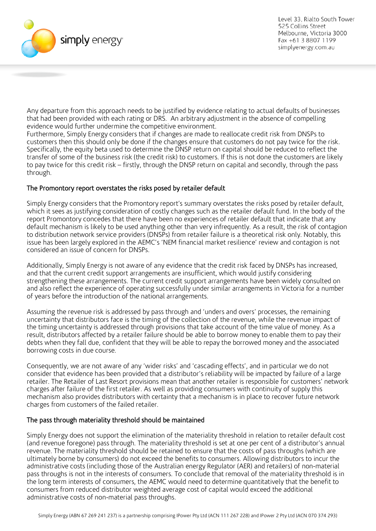

Any departure from this approach needs to be justified by evidence relating to actual defaults of businesses that had been provided with each rating or DRS. An arbitrary adjustment in the absence of compelling evidence would further undermine the competitive environment.

Furthermore, Simply Energy considers that if changes are made to reallocate credit risk from DNSPs to customers then this should only be done if the changes ensure that customers do not pay twice for the risk. Specifically, the equity beta used to determine the DNSP return on capital should be reduced to reflect the transfer of some of the business risk (the credit risk) to customers. If this is not done the customers are likely to pay twice for this credit risk – firstly, through the DNSP return on capital and secondly, through the pass through.

# The Promontory report overstates the risks posed by retailer default

Simply Energy considers that the Promontory report's summary overstates the risks posed by retailer default, which it sees as justifying consideration of costly changes such as the retailer default fund. In the body of the report Promontory concedes that there have been no experiences of retailer default that indicate that any default mechanism is likely to be used anything other than very infrequently. As a result, the risk of contagion to distribution network service providers (DNSPs) from retailer failure is a theoretical risk only. Notably, this issue has been largely explored in the AEMC's 'NEM financial market resilience' review and contagion is not considered an issue of concern for DNSPs.

Additionally, Simply Energy is not aware of any evidence that the credit risk faced by DNSPs has increased, and that the current credit support arrangements are insufficient, which would justify considering strengthening these arrangements. The current credit support arrangements have been widely consulted on and also reflect the experience of operating successfully under similar arrangements in Victoria for a number of years before the introduction of the national arrangements.

Assuming the revenue risk is addressed by pass through and 'unders and overs' processes, the remaining uncertainty that distributors face is the timing of the collection of the revenue, while the revenue impact of the timing uncertainty is addressed through provisions that take account of the time value of money. As a result, distributors affected by a retailer failure should be able to borrow money to enable them to pay their debts when they fall due, confident that they will be able to repay the borrowed money and the associated borrowing costs in due course.

Consequently, we are not aware of any 'wider risks' and 'cascading effects', and in particular we do not consider that evidence has been provided that a distributor's reliability will be impacted by failure of a large retailer. The Retailer of Last Resort provisions mean that another retailer is responsible for customers' network charges after failure of the first retailer. As well as providing consumers with continuity of supply this mechanism also provides distributors with certainty that a mechanism is in place to recover future network charges from customers of the failed retailer.

# The pass through materiality threshold should be maintained

Simply Energy does not support the elimination of the materiality threshold in relation to retailer default cost (and revenue foregone) pass through. The materiality threshold is set at one per cent of a distributor's annual revenue. The materiality threshold should be retained to ensure that the costs of pass throughs (which are ultimately borne by consumers) do not exceed the benefits to consumers. Allowing distributors to incur the administrative costs (including those of the Australian energy Regulator (AER) and retailers) of non-material pass throughs is not in the interests of consumers. To conclude that removal of the materiality threshold is in the long term interests of consumers, the AEMC would need to determine quantitatively that the benefit to consumers from reduced distributor weighted average cost of capital would exceed the additional administrative costs of non-material pass throughs.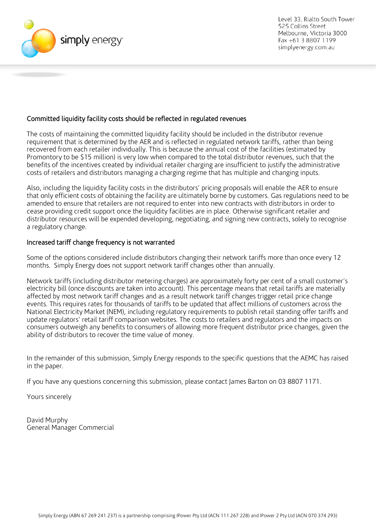

## Committed liquidity facility costs should be reflected in regulated revenues

The costs of maintaining the committed liquidity facility should be included in the distributor revenue requirement that is determined by the AER and is reflected in regulated network tariffs, rather than being recovered from each retailer individually. This is because the annual cost of the facilities (estimated by Promontory to be \$15 million) is very low when compared to the total distributor revenues, such that the benefits of the incentives created by individual retailer charging are insufficient to justify the administrative costs of retailers and distributors managing a charging regime that has multiple and changing inputs.

Also, including the liquidity facility costs in the distributors' pricing proposals will enable the AER to ensure that only efficient costs of obtaining the facility are ultimately borne by customers. Gas regulations need to be amended to ensure that retailers are not required to enter into new contracts with distributors in order to cease providing credit support once the liquidity facilities are in place. Otherwise significant retailer and distributor resources will be expended developing, negotiating, and signing new contracts, solely to recognise a regulatory change.

#### Increased tariff change frequency is not warranted

Some of the options considered include distributors changing their network tariffs more than once every 12 months. Simply Energy does not support network tariff changes other than annually.

Network tariffs (including distributor metering charges) are approximately forty per cent of a small customer's electricity bill (once discounts are taken into account). This percentage means that retail tariffs are materially affected by most network tariff changes and as a result network tariff changes trigger retail price change events. This requires rates for thousands of tariffs to be updated that affect millions of customers across the National Electricity Market (NEM), including regulatory requirements to publish retail standing offer tariffs and update regulators' retail tariff comparison websites. The costs to retailers and regulators and the impacts on consumers outweigh any benefits to consumers of allowing more frequent distributor price changes, given the ability of distributors to recover the time value of money.

In the remainder of this submission, Simply Energy responds to the specific questions that the AEMC has raised in the paper.

If you have any questions concerning this submission, please contact James Barton on 03 8807 1171.

Yours sincerely

David Murphy General Manager Commercial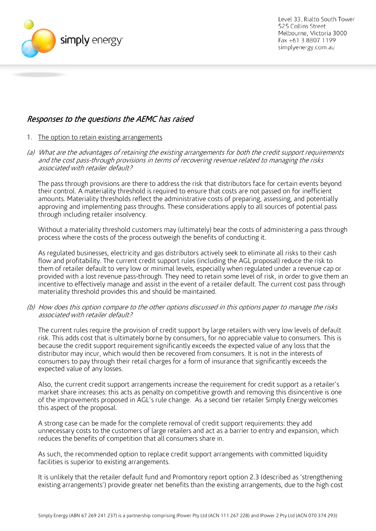

# Responses to the questions the AEMC has raised

- 1. The option to retain existing arrangements
- (a) What are the advantages of retaining the existing arrangements for both the credit support requirements and the cost pass-through provisions in terms of recovering revenue related to managing the risks associated with retailer default?

The pass through provisions are there to address the risk that distributors face for certain events beyond their control. A materiality threshold is required to ensure that costs are not passed on for inefficient amounts. Materiality thresholds reflect the administrative costs of preparing, assessing, and potentially approving and implementing pass throughs. These considerations apply to all sources of potential pass through including retailer insolvency.

Without a materiality threshold customers may (ultimately) bear the costs of administering a pass through process where the costs of the process outweigh the benefits of conducting it.

As regulated businesses, electricity and gas distributors actively seek to eliminate all risks to their cash flow and profitability. The current credit support rules (including the AGL proposal) reduce the risk to them of retailer default to very low or minimal levels, especially when regulated under a revenue cap or provided with a lost revenue pass-through. They need to retain some level of risk, in order to give them an incentive to effectively manage and assist in the event of a retailer default. The current cost pass through materiality threshold provides this and should be maintained.

(b) How does this option compare to the other options discussed in this options paper to manage the risks associated with retailer default?

The current rules require the provision of credit support by large retailers with very low levels of default risk. This adds cost that is ultimately borne by consumers, for no appreciable value to consumers. This is because the credit support requirement significantly exceeds the expected value of any loss that the distributor may incur, which would then be recovered from consumers. It is not in the interests of consumers to pay through their retail charges for a form of insurance that significantly exceeds the expected value of any losses.

Also, the current credit support arrangements increase the requirement for credit support as a retailer's market share increases: this acts as penalty on competitive growth and removing this disincentive is one of the improvements proposed in AGL's rule change. As a second tier retailer Simply Energy welcomes this aspect of the proposal.

A strong case can be made for the complete removal of credit support requirements: they add unnecessary costs to the customers of large retailers and act as a barrier to entry and expansion, which reduces the benefits of competition that all consumers share in.

As such, the recommended option to replace credit support arrangements with committed liquidity facilities is superior to existing arrangements.

<span id="page-3-0"></span>It is unlikely that the retailer default fund and Promontory report option 2.3 (described as 'strengthening existing arrangements') provide greater net benefits than the existing arrangements, due to the high cost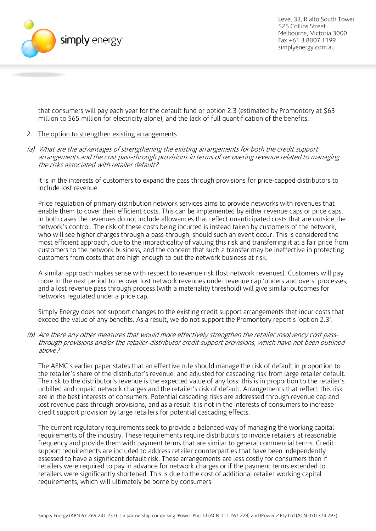

that consumers will pay each year for the default fund or option 2.3 (estimated by Promontory at \$63 million to \$65 million for electricity alone), and the lack of full quantification of the benefits.

#### 2. The option to strengthen existing arrangements

(a) What are the advantages of strengthening the existing arrangements for both the credit support arrangements and the cost pass-through provisions in terms of recovering revenue related to managing the risks associated with retailer default?

It is in the interests of customers to expand the pass through provisions for price-capped distributors to include lost revenue.

Price regulation of primary distribution network services aims to provide networks with revenues that enable them to cover their efficient costs. This can be implemented by either revenue caps or price caps. In both cases the revenues do not include allowances that reflect unanticipated costs that are outside the network's control. The risk of these costs being incurred is instead taken by customers of the network, who will see higher charges through a pass-through, should such an event occur. This is considered the most efficient approach, due to the impracticality of valuing this risk and transferring it at a fair price from customers to the network business, and the concern that such a transfer may be ineffective in protecting customers from costs that are high enough to put the network business at risk.

A similar approach makes sense with respect to revenue risk (lost network revenues). Customers will pay more in the next period to recover lost network revenues under revenue cap 'unders and overs' processes, and a lost revenue pass through process (with a materiality threshold) will give similar outcomes for networks regulated under a price cap.

Simply Energy does not support changes to the existing credit support arrangements that incur costs that exceed the value of any benefits. As a result, we do not support the Promontory report's 'option 2.3'.

(b) Are there any other measures that would more effectively strengthen the retailer insolvency cost passthrough provisions and/or the retailer-distributor credit support provisions, which have not been outlined above?

The AEMC's earlier paper states that an effective rule should manage the risk of default in proportion to the retailer's share of the distributor's revenue, and adjusted for cascading risk from large retailer default. The risk to the distributor's revenue is the expected value of any loss: this is in proportion to the retailer's unbilled and unpaid network charges and the retailer's risk of default. Arrangements that reflect this risk are in the best interests of consumers. Potential cascading risks are addressed through revenue cap and lost revenue pass through provisions, and as a result it is not in the interests of consumers to increase credit support provision by large retailers for potential cascading effects.

The current regulatory requirements seek to provide a balanced way of managing the working capital requirements of the industry. These requirements require distributors to invoice retailers at reasonable frequency and provide them with payment terms that are similar to general commercial terms. Credit support requirements are included to address retailer counterparties that have been independently assessed to have a significant default risk. These arrangements are less costly for consumers than if retailers were required to pay in advance for network charges or if the payment terms extended to retailers were significantly shortened. This is due to the cost of additional retailer working capital requirements, which will ultimately be borne by consumers.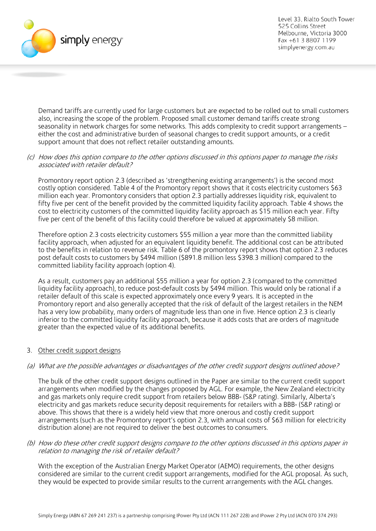

Demand tariffs are currently used for large customers but are expected to be rolled out to small customers also, increasing the scope of the problem. Proposed small customer demand tariffs create strong seasonality in network charges for some networks. This adds complexity to credit support arrangements – either the cost and administrative burden of seasonal changes to credit support amounts, or a credit support amount that does not reflect retailer outstanding amounts.

#### (c) How does this option compare to the other options discussed in this options paper to manage the risks associated with retailer default?

Promontory report option 2.3 (described as 'strengthening existing arrangements') is the second most costly option considered. Table 4 of the Promontory report shows that it costs electricity customers \$63 million each year. Promontory considers that option 2.3 partially addresses liquidity risk, equivalent to fifty five per cent of the benefit provided by the committed liquidity facility approach. Table 4 shows the cost to electricity customers of the committed liquidity facility approach as \$15 million each year. Fifty five per cent of the benefit of this facility could therefore be valued at approximately \$8 million.

Therefore option 2.3 costs electricity customers \$55 million a year more than the committed liability facility approach, when adjusted for an equivalent liquidity benefit. The additional cost can be attributed to the benefits in relation to revenue risk. Table 6 of the promontory report shows that option 2.3 reduces post default costs to customers by \$494 million (\$891.8 million less \$398.3 million) compared to the committed liability facility approach (option 4).

As a result, customers pay an additional \$55 million a year for option 2.3 (compared to the committed liquidity facility approach), to reduce post-default costs by \$494 million. This would only be rational if a retailer default of this scale is expected approximately once every 9 years. It is accepted in the Promontory report and also generally accepted that the risk of default of the largest retailers in the NEM has a very low probability, many orders of magnitude less than one in five. Hence option 2.3 is clearly inferior to the committed liquidity facility approach, because it adds costs that are orders of magnitude greater than the expected value of its additional benefits.

## 3. Other credit support designs

## (a) What are the possible advantages or disadvantages of the other credit support designs outlined above?

The bulk of the other credit support designs outlined in the Paper are similar to the current credit support arrangements when modified by the changes proposed by AGL. For example, the New Zealand electricity and gas markets only require credit support from retailers below BBB- (S&P rating). Similarly, Alberta's electricity and gas markets reduce security deposit requirements for retailers with a BBB- (S&P rating) or above. This shows that there is a widely held view that more onerous and costly credit support arrangements (such as the Promontory report's option 2.3, with annual costs of \$63 million for electricity distribution alone) are not required to deliver the best outcomes to consumers.

#### (b) How do these other credit support designs compare to the other options discussed in this options paper in relation to managing the risk of retailer default?

With the exception of the Australian Energy Market Operator (AEMO) requirements, the other designs considered are similar to the current credit support arrangements, modified for the AGL proposal. As such, they would be expected to provide similar results to the current arrangements with the AGL changes.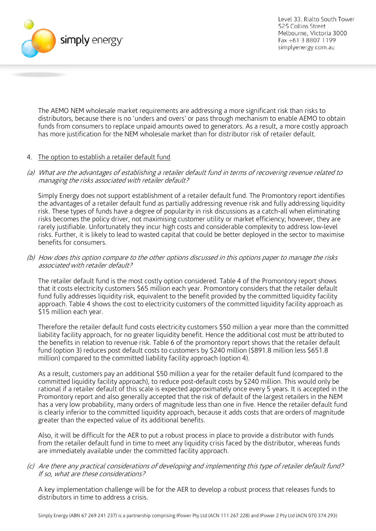

The AEMO NEM wholesale market requirements are addressing a more significant risk than risks to distributors, because there is no 'unders and overs' or pass through mechanism to enable AEMO to obtain funds from consumers to replace unpaid amounts owed to generators. As a result, a more costly approach has more justification for the NEM wholesale market than for distributor risk of retailer default.

## 4. The option to establish a retailer default fund

#### (a) What are the advantages of establishing a retailer default fund in terms of recovering revenue related to managing the risks associated with retailer default?

Simply Energy does not support establishment of a retailer default fund. The Promontory report identifies the advantages of a retailer default fund as partially addressing revenue risk and fully addressing liquidity risk. These types of funds have a degree of popularity in risk discussions as a catch-all when eliminating risks becomes the policy driver, not maximising customer utility or market efficiency; however, they are rarely justifiable. Unfortunately they incur high costs and considerable complexity to address low-level risks. Further, it is likely to lead to wasted capital that could be better deployed in the sector to maximise benefits for consumers.

#### (b) How does this option compare to the other options discussed in this options paper to manage the risks associated with retailer default?

The retailer default fund is the most costly option considered. Table 4 of the Promontory report shows that it costs electricity customers \$65 million each year. Promontory considers that the retailer default fund fully addresses liquidity risk, equivalent to the benefit provided by the committed liquidity facility approach. Table 4 shows the cost to electricity customers of the committed liquidity facility approach as \$15 million each year.

Therefore the retailer default fund costs electricity customers \$50 million a year more than the committed liability facility approach, for no greater liquidity benefit. Hence the additional cost must be attributed to the benefits in relation to revenue risk. Table 6 of the promontory report shows that the retailer default fund (option 3) reduces post default costs to customers by \$240 million (\$891.8 million less \$651.8 million) compared to the committed liability facility approach (option 4).

As a result, customers pay an additional \$50 million a year for the retailer default fund (compared to the committed liquidity facility approach), to reduce post-default costs by \$240 million. This would only be rational if a retailer default of this scale is expected approximately once every 5 years. It is accepted in the Promontory report and also generally accepted that the risk of default of the largest retailers in the NEM has a very low probability, many orders of magnitude less than one in five. Hence the retailer default fund is clearly inferior to the committed liquidity approach, because it adds costs that are orders of magnitude greater than the expected value of its additional benefits.

Also, it will be difficult for the AER to put a robust process in place to provide a distributor with funds from the retailer default fund in time to meet any liquidity crisis faced by the distributor, whereas funds are immediately available under the committed facility approach.

#### (c) Are there any practical considerations of developing and implementing this type of retailer default fund? If so, what are these considerations?

A key implementation challenge will be for the AER to develop a robust process that releases funds to distributors in time to address a crisis.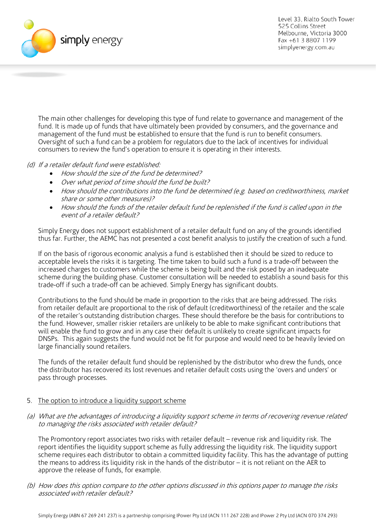

The main other challenges for developing this type of fund relate to governance and management of the fund. It is made up of funds that have ultimately been provided by consumers, and the governance and management of the fund must be established to ensure that the fund is run to benefit consumers. Oversight of such a fund can be a problem for regulators due to the lack of incentives for individual consumers to review the fund's operation to ensure it is operating in their interests.

## (d) If a retailer default fund were established:

- How should the size of the fund be determined?
- Over what period of time should the fund be built?
- How should the contributions into the fund be determined (e.g. based on creditworthiness, market share or some other measures)?
- How should the funds of the retailer default fund be replenished if the fund is called upon in the event of a retailer default?

Simply Energy does not support establishment of a retailer default fund on any of the grounds identified thus far. Further, the AEMC has not presented a cost benefit analysis to justify the creation of such a fund.

If on the basis of rigorous economic analysis a fund is established then it should be sized to reduce to acceptable levels the risks it is targeting. The time taken to build such a fund is a trade-off between the increased charges to customers while the scheme is being built and the risk posed by an inadequate scheme during the building phase. Customer consultation will be needed to establish a sound basis for this trade-off if such a trade-off can be achieved. Simply Energy has significant doubts.

Contributions to the fund should be made in proportion to the risks that are being addressed. The risks from retailer default are proportional to the risk of default (creditworthiness) of the retailer and the scale of the retailer's outstanding distribution charges. These should therefore be the basis for contributions to the fund. However, smaller riskier retailers are unlikely to be able to make significant contributions that will enable the fund to grow and in any case their default is unlikely to create significant impacts for DNSPs. This again suggests the fund would not be fit for purpose and would need to be heavily levied on large financially sound retailers.

The funds of the retailer default fund should be replenished by the distributor who drew the funds, once the distributor has recovered its lost revenues and retailer default costs using the 'overs and unders' or pass through processes.

## 5. The option to introduce a liquidity support scheme

(a) What are the advantages of introducing a liquidity support scheme in terms of recovering revenue related to managing the risks associated with retailer default?

The Promontory report associates two risks with retailer default – revenue risk and liquidity risk. The report identifies the liquidity support scheme as fully addressing the liquidity risk. The liquidity support scheme requires each distributor to obtain a committed liquidity facility. This has the advantage of putting the means to address its liquidity risk in the hands of the distributor – it is not reliant on the AER to approve the release of funds, for example.

(b) How does this option compare to the other options discussed in this options paper to manage the risks associated with retailer default?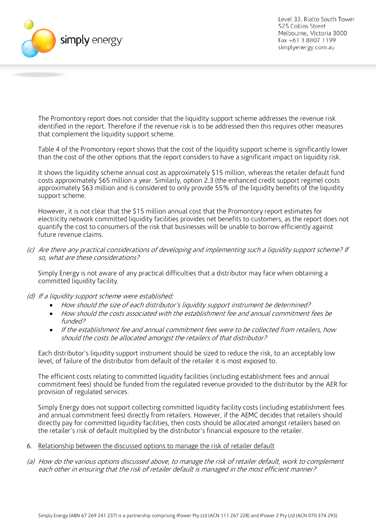

The Promontory report does not consider that the liquidity support scheme addresses the revenue risk identified in the report. Therefore if the revenue risk is to be addressed then this requires other measures that complement the liquidity support scheme.

Table 4 of the Promontory report shows that the cost of the liquidity support scheme is significantly lower than the cost of the other options that the report considers to have a significant impact on liquidity risk.

It shows the liquidity scheme annual cost as approximately \$15 million, whereas the retailer default fund costs approximately \$65 million a year. Similarly, option 2.3 (the enhanced credit support regime) costs approximately \$63 million and is considered to only provide 55% of the liquidity benefits of the liquidity support scheme.

However, it is not clear that the \$15 million annual cost that the Promontory report estimates for electricity network committed liquidity facilities provides net benefits to customers, as the report does not quantify the cost to consumers of the risk that businesses will be unable to borrow efficiently against future revenue claims.

(c) Are there any practical considerations of developing and implementing such a liquidity support scheme? If so, what are these considerations?

Simply Energy is not aware of any practical difficulties that a distributor may face when obtaining a committed liquidity facility.

- (d) If a liquidity support scheme were established:
	- How should the size of each distributor's liquidity support instrument be determined?
	- How should the costs associated with the establishment fee and annual commitment fees be funded?
	- If the establishment fee and annual commitment fees were to be collected from retailers, how should the costs be allocated amongst the retailers of that distributor?

Each distributor's liquidity support instrument should be sized to reduce the risk, to an acceptably low level, of failure of the distributor from default of the retailer it is most exposed to.

The efficient costs relating to committed liquidity facilities (including establishment fees and annual commitment fees) should be funded from the regulated revenue provided to the distributor by the AER for provision of regulated services.

Simply Energy does not support collecting committed liquidity facility costs (including establishment fees and annual commitment fees) directly from retailers. However, if the AEMC decides that retailers should directly pay for committed liquidity facilities, then costs should be allocated amongst retailers based on the retailer's risk of default multiplied by the distributor's financial exposure to the retailer.

- 6. Relationship between the discussed options to manage the risk of retailer default
- (a) How do the various options discussed above, to manage the risk of retailer default, work to complement each other in ensuring that the risk of retailer default is managed in the most efficient manner?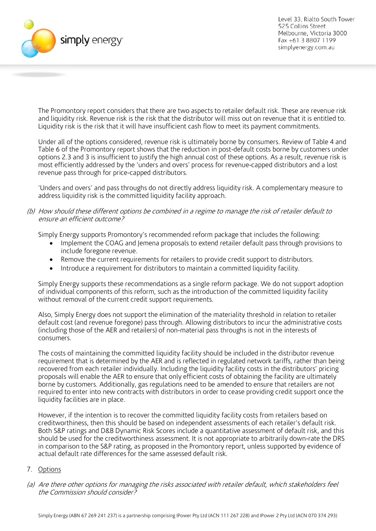

The Promontory report considers that there are two aspects to retailer default risk. These are revenue risk and liquidity risk. Revenue risk is the risk that the distributor will miss out on revenue that it is entitled to. Liquidity risk is the risk that it will have insufficient cash flow to meet its payment commitments.

Under all of the options considered, revenue risk is ultimately borne by consumers. Review of Table 4 and Table 6 of the Promontory report shows that the reduction in post-default costs borne by customers under options 2.3 and 3 is insufficient to justify the high annual cost of these options. As a result, revenue risk is most efficiently addressed by the 'unders and overs' process for revenue-capped distributors and a lost revenue pass through for price-capped distributors.

'Unders and overs' and pass throughs do not directly address liquidity risk. A complementary measure to address liquidity risk is the committed liquidity facility approach.

(b) How should these different options be combined in a regime to manage the risk of retailer default to ensure an efficient outcome?

Simply Energy supports Promontory's recommended reform package that includes the following:

- Implement the COAG and Jemena proposals to extend retailer default pass through provisions to include foregone revenue.
- Remove the current requirements for retailers to provide credit support to distributors.
- Introduce a requirement for distributors to maintain a committed liquidity facility.

Simply Energy supports these recommendations as a single reform package. We do not support adoption of individual components of this reform, such as the introduction of the committed liquidity facility without removal of the current credit support requirements.

Also, Simply Energy does not support the elimination of the materiality threshold in relation to retailer default cost (and revenue foregone) pass through. Allowing distributors to incur the administrative costs (including those of the AER and retailers) of non-material pass throughs is not in the interests of consumers.

The costs of maintaining the committed liquidity facility should be included in the distributor revenue requirement that is determined by the AER and is reflected in regulated network tariffs, rather than being recovered from each retailer individually. Including the liquidity facility costs in the distributors' pricing proposals will enable the AER to ensure that only efficient costs of obtaining the facility are ultimately borne by customers. Additionally, gas regulations need to be amended to ensure that retailers are not required to enter into new contracts with distributors in order to cease providing credit support once the liquidity facilities are in place.

However, if the intention is to recover the committed liquidity facility costs from retailers based on creditworthiness, then this should be based on independent assessments of each retailer's default risk. Both S&P ratings and D&B Dynamic Risk Scores include a quantitative assessment of default risk, and this should be used for the creditworthiness assessment. It is not appropriate to arbitrarily down-rate the DRS in comparison to the S&P rating, as proposed in the Promontory report, unless supported by evidence of actual default rate differences for the same assessed default risk.

## 7. Options

(a) Are there other options for managing the risks associated with retailer default, which stakeholders feel the Commission should consider?